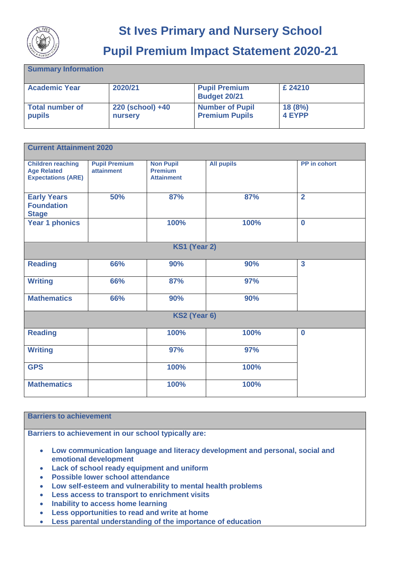

## **St Ives Primary and Nursery School**

## **Pupil Premium Impact Statement 2020-21**

| <b>Summary Information</b>       |                             |                                                 |                  |
|----------------------------------|-----------------------------|-------------------------------------------------|------------------|
| <b>Academic Year</b>             | 2020/21                     | <b>Pupil Premium</b><br><b>Budget 20/21</b>     | £ 24210          |
| <b>Total number of</b><br>pupils | 220 (school) +40<br>nursery | <b>Number of Pupil</b><br><b>Premium Pupils</b> | 18(8%)<br>4 EYPP |

| <b>Current Attainment 2020</b>                                              |                                           |                                                         |                   |                         |  |  |
|-----------------------------------------------------------------------------|-------------------------------------------|---------------------------------------------------------|-------------------|-------------------------|--|--|
| <b>Children reaching</b><br><b>Age Related</b><br><b>Expectations (ARE)</b> | <b>Pupil Premium</b><br><b>attainment</b> | <b>Non Pupil</b><br><b>Premium</b><br><b>Attainment</b> | <b>All pupils</b> | PP in cohort            |  |  |
| <b>Early Years</b><br><b>Foundation</b><br><b>Stage</b>                     | 50%                                       | 87%                                                     | 87%               | $\overline{2}$          |  |  |
| <b>Year 1 phonics</b>                                                       |                                           | 100%                                                    | 100%              | $\bf{0}$                |  |  |
| KS1 (Year 2)                                                                |                                           |                                                         |                   |                         |  |  |
| <b>Reading</b>                                                              | 66%                                       | 90%                                                     | 90%               | $\overline{\mathbf{3}}$ |  |  |
| <b>Writing</b>                                                              | 66%                                       | 87%                                                     | 97%               |                         |  |  |
| <b>Mathematics</b>                                                          | 66%                                       | 90%                                                     | 90%               |                         |  |  |
| KS2 (Year 6)                                                                |                                           |                                                         |                   |                         |  |  |
| <b>Reading</b>                                                              |                                           | 100%                                                    | 100%              | $\bf{0}$                |  |  |
| <b>Writing</b>                                                              |                                           | 97%                                                     | 97%               |                         |  |  |
| <b>GPS</b>                                                                  |                                           | 100%                                                    | 100%              |                         |  |  |
| <b>Mathematics</b>                                                          |                                           | 100%                                                    | 100%              |                         |  |  |

## **Barriers to achievement**

**Barriers to achievement in our school typically are:**

- **Low communication language and literacy development and personal, social and emotional development**
- **Lack of school ready equipment and uniform**
- **Possible lower school attendance**
- **Low self-esteem and vulnerability to mental health problems**
- **Less access to transport to enrichment visits**
- **Inability to access home learning**
- **Less opportunities to read and write at home**
- **Less parental understanding of the importance of education**